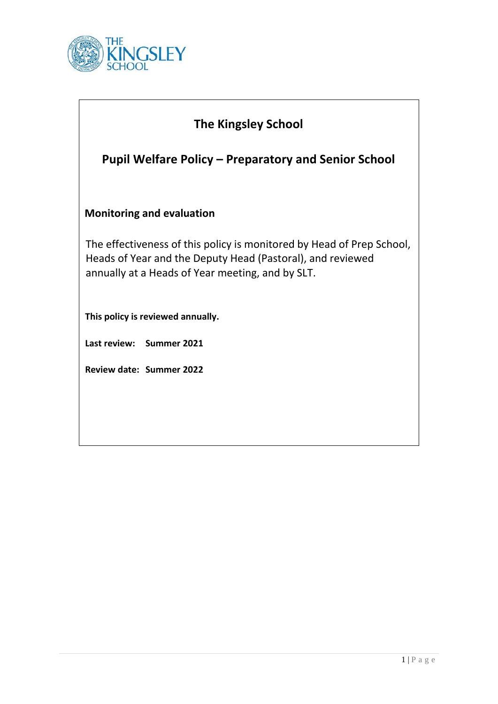

| <b>The Kingsley School</b>                                                                                                                                                              |
|-----------------------------------------------------------------------------------------------------------------------------------------------------------------------------------------|
| <b>Pupil Welfare Policy – Preparatory and Senior School</b>                                                                                                                             |
| <b>Monitoring and evaluation</b>                                                                                                                                                        |
| The effectiveness of this policy is monitored by Head of Prep School,<br>Heads of Year and the Deputy Head (Pastoral), and reviewed<br>annually at a Heads of Year meeting, and by SLT. |
| This policy is reviewed annually.                                                                                                                                                       |
| Last review: Summer 2021                                                                                                                                                                |
| Review date: Summer 2022                                                                                                                                                                |
|                                                                                                                                                                                         |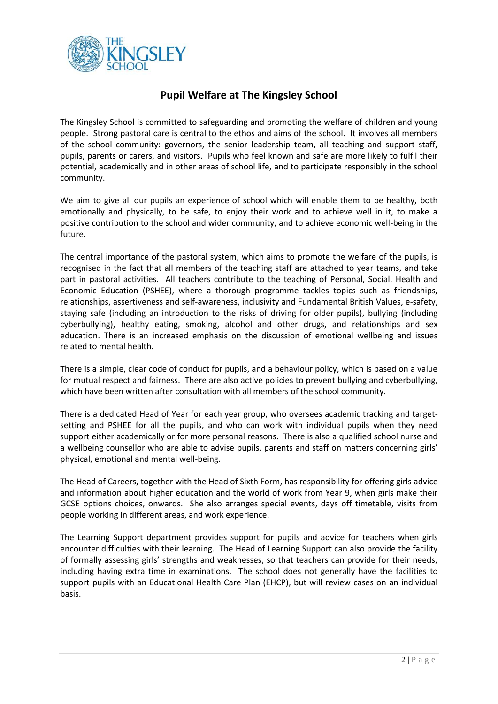

## **Pupil Welfare at The Kingsley School**

The Kingsley School is committed to safeguarding and promoting the welfare of children and young people. Strong pastoral care is central to the ethos and aims of the school. It involves all members of the school community: governors, the senior leadership team, all teaching and support staff, pupils, parents or carers, and visitors. Pupils who feel known and safe are more likely to fulfil their potential, academically and in other areas of school life, and to participate responsibly in the school community.

We aim to give all our pupils an experience of school which will enable them to be healthy, both emotionally and physically, to be safe, to enjoy their work and to achieve well in it, to make a positive contribution to the school and wider community, and to achieve economic well-being in the future.

The central importance of the pastoral system, which aims to promote the welfare of the pupils, is recognised in the fact that all members of the teaching staff are attached to year teams, and take part in pastoral activities. All teachers contribute to the teaching of Personal, Social, Health and Economic Education (PSHEE), where a thorough programme tackles topics such as friendships, relationships, assertiveness and self-awareness, inclusivity and Fundamental British Values, e-safety, staying safe (including an introduction to the risks of driving for older pupils), bullying (including cyberbullying), healthy eating, smoking, alcohol and other drugs, and relationships and sex education. There is an increased emphasis on the discussion of emotional wellbeing and issues related to mental health.

There is a simple, clear code of conduct for pupils, and a behaviour policy, which is based on a value for mutual respect and fairness. There are also active policies to prevent bullying and cyberbullying, which have been written after consultation with all members of the school community.

There is a dedicated Head of Year for each year group, who oversees academic tracking and targetsetting and PSHEE for all the pupils, and who can work with individual pupils when they need support either academically or for more personal reasons. There is also a qualified school nurse and a wellbeing counsellor who are able to advise pupils, parents and staff on matters concerning girls' physical, emotional and mental well-being.

The Head of Careers, together with the Head of Sixth Form, has responsibility for offering girls advice and information about higher education and the world of work from Year 9, when girls make their GCSE options choices, onwards. She also arranges special events, days off timetable, visits from people working in different areas, and work experience.

The Learning Support department provides support for pupils and advice for teachers when girls encounter difficulties with their learning. The Head of Learning Support can also provide the facility of formally assessing girls' strengths and weaknesses, so that teachers can provide for their needs, including having extra time in examinations. The school does not generally have the facilities to support pupils with an Educational Health Care Plan (EHCP), but will review cases on an individual basis.